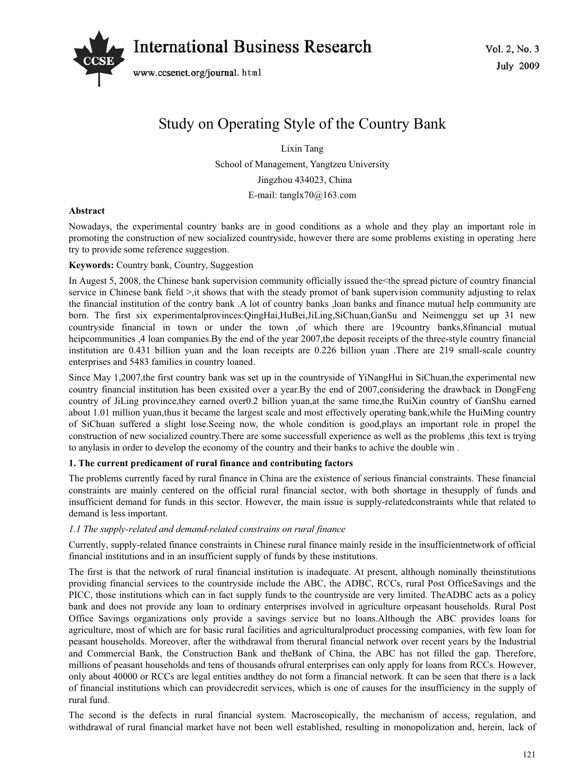# **International Business Research**  $\text{Vol. 2, No. 3}$



www.ccsenet.org/journal.html

## Study on Operating Style of the Country Bank

Lixin Tang School of Management, Yangtzeu University Jingzhou 434023, China E-mail: tanglx70@163.com

## **Abstract**

Nowadays, the experimental country banks are in good conditions as a whole and they play an important role in promoting the construction of new socialized countryside, however there are some problems existing in operating .here try to provide some reference suggestion.

## **Keywords:** Country bank, Country, Suggestion

In Augest 5, 2008, the Chinese bank supervision community officially issued the<the spread picture of country financial service in Chinese bank field >,it shows that with the steady promot of bank supervision community adjusting to relax the financial institution of the contry bank .A lot of country banks ,loan banks and finance mutual help community are born. The first six experimentalprovinces:QingHai,HuBei,JiLing,SiChuan,GanSu and Neimenggu set up 31 new countryside financial in town or under the town ,of which there are 19country banks,8financial mutual heipcommunities ,4 loan companies.By the end of the year 2007, the deposit receipts of the three-style country financial institution are 0.431 billion yuan and the loan receipts are 0.226 billion yuan .There are 219 small-scale country enterprises and 5483 families in country loaned.

Since May 1,2007,the first country bank was set up in the countryside of YiNangHui in SiChuan,the experimental new country financial institution has been exisited over a year.By the end of 2007,considering the drawback in DongFeng country of JiLing province,they earned over0.2 billion yuan,at the same time,the RuiXin country of GanShu earned about 1.01 million yuan,thus it became the largest scale and most effectively operating bank,while the HuiMing country of SiChuan suffered a slight lose.Seeing now, the whole condition is good,plays an important role in propel the construction of new socialized country.There are some successfull experience as well as the problems ,this text is trying to anylasis in order to develop the economy of the country and their banks to achive the double win .

## **1. The current predicament of rural finance and contributing factors**

The problems currently faced by rural finance in China are the existence of serious financial constraints. These financial constraints are mainly centered on the official rural financial sector, with both shortage in thesupply of funds and insufficient demand for funds in this sector. However, the main issue is supply-relatedconstraints while that related to demand is less important.

## *1.1 The supply-related and demand-related constrains on rural finance*

Currently, supply-related finance constraints in Chinese rural finance mainly reside in the insufficientnetwork of official financial institutions and in an insufficient supply of funds by these institutions.

The first is that the network of rural financial institution is inadequate. At present, although nominally theinstitutions providing financial services to the countryside include the ABC, the ADBC, RCCs, rural Post OfficeSavings and the PICC, those institutions which can in fact supply funds to the countryside are very limited. TheADBC acts as a policy bank and does not provide any loan to ordinary enterprises involved in agriculture orpeasant households. Rural Post Office Savings organizations only provide a savings service but no loans.Although the ABC provides loans for agriculture, most of which are for basic rural facilities and agriculturalproduct processing companies, with few loan for peasant households. Moreover, after the withdrawal from therural financial network over recent years by the Industrial and Commercial Bank, the Construction Bank and theBank of China, the ABC has not filled the gap. Therefore, millions of peasant households and tens of thousands ofrural enterprises can only apply for loans from RCCs. However, only about 40000 or RCCs are legal entities andthey do not form a financial network. It can be seen that there is a lack of financial institutions which can providecredit services, which is one of causes for the insufficiency in the supply of rural fund.

The second is the defects in rural financial system. Macroscopically, the mechanism of access, regulation, and withdrawal of rural financial market have not been well established, resulting in monopolization and, herein, lack of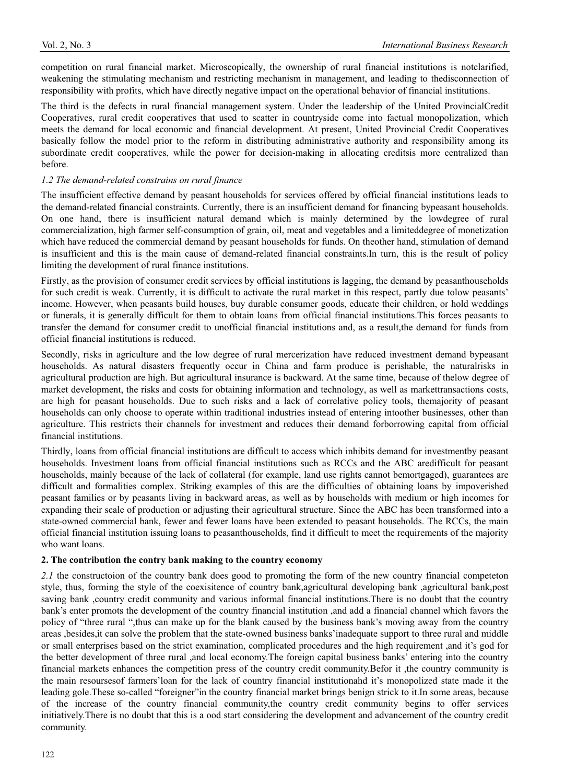competition on rural financial market. Microscopically, the ownership of rural financial institutions is notclarified, weakening the stimulating mechanism and restricting mechanism in management, and leading to thedisconnection of responsibility with profits, which have directly negative impact on the operational behavior of financial institutions.

The third is the defects in rural financial management system. Under the leadership of the United ProvincialCredit Cooperatives, rural credit cooperatives that used to scatter in countryside come into factual monopolization, which meets the demand for local economic and financial development. At present, United Provincial Credit Cooperatives basically follow the model prior to the reform in distributing administrative authority and responsibility among its subordinate credit cooperatives, while the power for decision-making in allocating creditsis more centralized than before.

## *1.2 The demand-related constrains on rural finance*

The insufficient effective demand by peasant households for services offered by official financial institutions leads to the demand-related financial constraints. Currently, there is an insufficient demand for financing bypeasant households. On one hand, there is insufficient natural demand which is mainly determined by the lowdegree of rural commercialization, high farmer self-consumption of grain, oil, meat and vegetables and a limiteddegree of monetization which have reduced the commercial demand by peasant households for funds. On theother hand, stimulation of demand is insufficient and this is the main cause of demand-related financial constraints.In turn, this is the result of policy limiting the development of rural finance institutions.

Firstly, as the provision of consumer credit services by official institutions is lagging, the demand by peasanthouseholds for such credit is weak. Currently, it is difficult to activate the rural market in this respect, partly due tolow peasants' income. However, when peasants build houses, buy durable consumer goods, educate their children, or hold weddings or funerals, it is generally difficult for them to obtain loans from official financial institutions.This forces peasants to transfer the demand for consumer credit to unofficial financial institutions and, as a result,the demand for funds from official financial institutions is reduced.

Secondly, risks in agriculture and the low degree of rural mercerization have reduced investment demand bypeasant households. As natural disasters frequently occur in China and farm produce is perishable, the naturalrisks in agricultural production are high. But agricultural insurance is backward. At the same time, because of thelow degree of market development, the risks and costs for obtaining information and technology, as well as markettransactions costs, are high for peasant households. Due to such risks and a lack of correlative policy tools, themajority of peasant households can only choose to operate within traditional industries instead of entering intoother businesses, other than agriculture. This restricts their channels for investment and reduces their demand forborrowing capital from official financial institutions.

Thirdly, loans from official financial institutions are difficult to access which inhibits demand for investmentby peasant households. Investment loans from official financial institutions such as RCCs and the ABC aredifficult for peasant households, mainly because of the lack of collateral (for example, land use rights cannot bemortgaged), guarantees are difficult and formalities complex. Striking examples of this are the difficulties of obtaining loans by impoverished peasant families or by peasants living in backward areas, as well as by households with medium or high incomes for expanding their scale of production or adjusting their agricultural structure. Since the ABC has been transformed into a state-owned commercial bank, fewer and fewer loans have been extended to peasant households. The RCCs, the main official financial institution issuing loans to peasanthouseholds, find it difficult to meet the requirements of the majority who want loans.

#### **2. The contribution the contry bank making to the country economy**

*2.1* the constructoion of the country bank does good to promoting the form of the new country financial competeton style, thus, forming the style of the coexisitence of country bank,agricultural developing bank ,agricultural bank,post saving bank ,country credit community and various informal financial institutions.There is no doubt that the country bank's enter promots the development of the country financial institution ,and add a financial channel which favors the policy of "three rural ",thus can make up for the blank caused by the business bank's moving away from the country areas ,besides,it can solve the problem that the state-owned business banks'inadequate support to three rural and middle or small enterprises based on the strict examination, complicated procedures and the high requirement ,and it's god for the better development of three rural ,and local economy.The foreign capital business banks' entering into the country financial markets enhances the competition press of the country credit community.Befor it ,the country community is the main resoursesof farmers'loan for the lack of country financial institutionahd it's monopolized state made it the leading gole.These so-called "foreigner"in the country financial market brings benign strick to it.In some areas, because of the increase of the country financial community,the country credit community begins to offer services initiatively.There is no doubt that this is a ood start considering the development and advancement of the country credit community.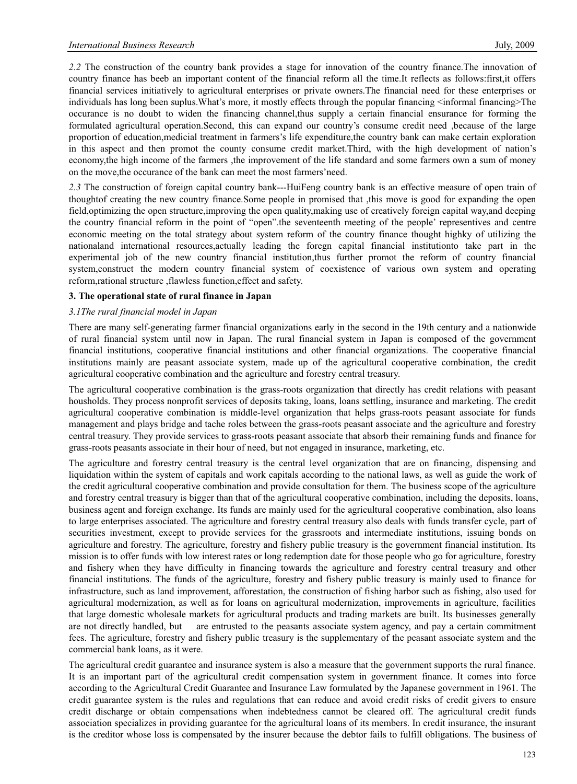*2.2* The construction of the country bank provides a stage for innovation of the country finance.The innovation of country finance has beeb an important content of the financial reform all the time.It reflects as follows:first,it offers financial services initiatively to agricultural enterprises or private owners.The financial need for these enterprises or individuals has long been suplus. What's more, it mostly effects through the popular financing <informal financing>The occurance is no doubt to widen the financing channel,thus supply a certain financial ensurance for forming the formulated agricultural operation.Second, this can expand our country's consume credit need ,because of the large proportion of education,medicial treatment in farmers's life expenditure,the country bank can make certain exploration in this aspect and then promot the county consume credit market.Third, with the high development of nation's economy,the high income of the farmers ,the improvement of the life standard and some farmers own a sum of money on the move,the occurance of the bank can meet the most farmers'need.

*2.3* The construction of foreign capital country bank---HuiFeng country bank is an effective measure of open train of thoughtof creating the new country finance.Some people in promised that ,this move is good for expanding the open field,optimizing the open structure,improving the open quality,making use of creatively foreign capital way,and deeping the country financial reform in the point of "open".the seventeenth meeting of the people' representives and centre economic meeting on the total strategy about system reform of the country finance thought highky of utilizing the nationaland international resources,actually leading the foregn capital financial institutionto take part in the experimental job of the new country financial institution,thus further promot the reform of country financial system,construct the modern country financial system of coexistence of various own system and operating reform,rational structure ,flawless function,effect and safety.

#### **3. The operational state of rural finance in Japan**

#### *3.1The rural financial model in Japan*

There are many self-generating farmer financial organizations early in the second in the 19th century and a nationwide of rural financial system until now in Japan. The rural financial system in Japan is composed of the government financial institutions, cooperative financial institutions and other financial organizations. The cooperative financial institutions mainly are peasant associate system, made up of the agricultural cooperative combination, the credit agricultural cooperative combination and the agriculture and forestry central treasury.

The agricultural cooperative combination is the grass-roots organization that directly has credit relations with peasant housholds. They process nonprofit services of deposits taking, loans, loans settling, insurance and marketing. The credit agricultural cooperative combination is middle-level organization that helps grass-roots peasant associate for funds management and plays bridge and tache roles between the grass-roots peasant associate and the agriculture and forestry central treasury. They provide services to grass-roots peasant associate that absorb their remaining funds and finance for grass-roots peasants associate in their hour of need, but not engaged in insurance, marketing, etc.

The agriculture and forestry central treasury is the central level organization that are on financing, dispensing and liquidation within the system of capitals and work capitals according to the national laws, as well as guide the work of the credit agricultural cooperative combination and provide consultation for them. The business scope of the agriculture and forestry central treasury is bigger than that of the agricultural cooperative combination, including the deposits, loans, business agent and foreign exchange. Its funds are mainly used for the agricultural cooperative combination, also loans to large enterprises associated. The agriculture and forestry central treasury also deals with funds transfer cycle, part of securities investment, except to provide services for the grassroots and intermediate institutions, issuing bonds on agriculture and forestry. The agriculture, forestry and fishery public treasury is the government financial institution. Its mission is to offer funds with low interest rates or long redemption date for those people who go for agriculture, forestry and fishery when they have difficulty in financing towards the agriculture and forestry central treasury and other financial institutions. The funds of the agriculture, forestry and fishery public treasury is mainly used to finance for infrastructure, such as land improvement, afforestation, the construction of fishing harbor such as fishing, also used for agricultural modernization, as well as for loans on agricultural modernization, improvements in agriculture, facilities that large domestic wholesale markets for agricultural products and trading markets are built. Its businesses generally are not directly handled, but are entrusted to the peasants associate system agency, and pay a certain commitment fees. The agriculture, forestry and fishery public treasury is the supplementary of the peasant associate system and the commercial bank loans, as it were.

The agricultural credit guarantee and insurance system is also a measure that the government supports the rural finance. It is an important part of the agricultural credit compensation system in government finance. It comes into force according to the Agricultural Credit Guarantee and Insurance Law formulated by the Japanese government in 1961. The credit guarantee system is the rules and regulations that can reduce and avoid credit risks of credit givers to ensure credit discharge or obtain compensations when indebtedness cannot be cleared off. The agricultural credit funds association specializes in providing guarantee for the agricultural loans of its members. In credit insurance, the insurant is the creditor whose loss is compensated by the insurer because the debtor fails to fulfill obligations. The business of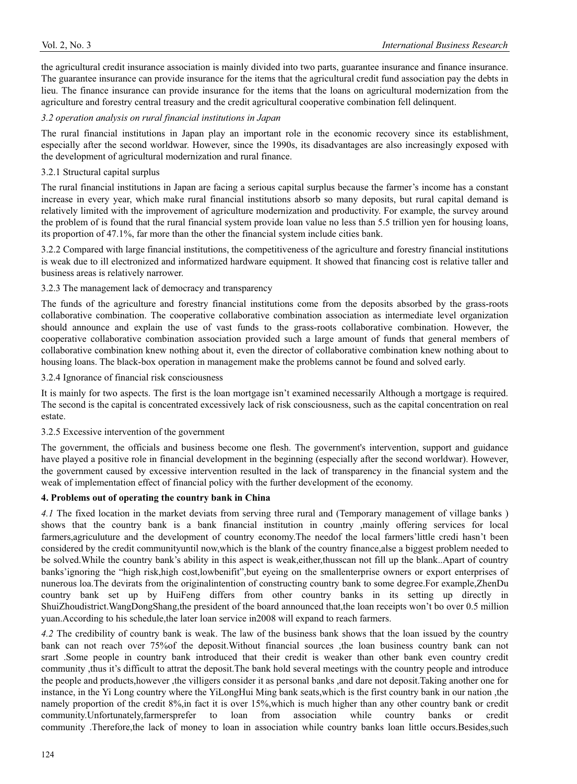the agricultural credit insurance association is mainly divided into two parts, guarantee insurance and finance insurance. The guarantee insurance can provide insurance for the items that the agricultural credit fund association pay the debts in lieu. The finance insurance can provide insurance for the items that the loans on agricultural modernization from the agriculture and forestry central treasury and the credit agricultural cooperative combination fell delinquent.

## *3.2 operation analysis on rural financial institutions in Japan*

The rural financial institutions in Japan play an important role in the economic recovery since its establishment, especially after the second worldwar. However, since the 1990s, its disadvantages are also increasingly exposed with the development of agricultural modernization and rural finance.

## 3.2.1 Structural capital surplus

The rural financial institutions in Japan are facing a serious capital surplus because the farmer's income has a constant increase in every year, which make rural financial institutions absorb so many deposits, but rural capital demand is relatively limited with the improvement of agriculture modernization and productivity. For example, the survey around the problem of is found that the rural financial system provide loan value no less than 5.5 trillion yen for housing loans, its proportion of 47.1%, far more than the other the financial system include cities bank.

3.2.2 Compared with large financial institutions, the competitiveness of the agriculture and forestry financial institutions is weak due to ill electronized and informatized hardware equipment. It showed that financing cost is relative taller and business areas is relatively narrower.

## 3.2.3 The management lack of democracy and transparency

The funds of the agriculture and forestry financial institutions come from the deposits absorbed by the grass-roots collaborative combination. The cooperative collaborative combination association as intermediate level organization should announce and explain the use of vast funds to the grass-roots collaborative combination. However, the cooperative collaborative combination association provided such a large amount of funds that general members of collaborative combination knew nothing about it, even the director of collaborative combination knew nothing about to housing loans. The black-box operation in management make the problems cannot be found and solved early.

3.2.4 Ignorance of financial risk consciousness

It is mainly for two aspects. The first is the loan mortgage isn't examined necessarily Although a mortgage is required. The second is the capital is concentrated excessively lack of risk consciousness, such as the capital concentration on real estate.

## 3.2.5 Excessive intervention of the government

The government, the officials and business become one flesh. The government's intervention, support and guidance have played a positive role in financial development in the beginning (especially after the second worldwar). However, the government caused by excessive intervention resulted in the lack of transparency in the financial system and the weak of implementation effect of financial policy with the further development of the economy.

## **4. Problems out of operating the country bank in China**

*4.1* The fixed location in the market deviats from serving three rural and (Temporary management of village banks ) shows that the country bank is a bank financial institution in country ,mainly offering services for local farmers,agriculuture and the development of country economy.The needof the local farmers'little credi hasn't been considered by the credit communityuntil now,which is the blank of the country finance,alse a biggest problem needed to be solved.While the country bank's ability in this aspect is weak,either,thusscan not fill up the blank..Apart of country banks'ignoring the "high risk,high cost,lowbenifit",but eyeing on the smallenterprise owners or export enterprises of nunerous loa.The devirats from the originalintention of constructing country bank to some degree.For example,ZhenDu country bank set up by HuiFeng differs from other country banks in its setting up directly in ShuiZhoudistrict.WangDongShang,the president of the board announced that,the loan receipts won't bo over 0.5 million yuan.According to his schedule,the later loan service in2008 will expand to reach farmers.

*4.2* The credibility of country bank is weak. The law of the business bank shows that the loan issued by the country bank can not reach over 75%of the deposit.Without financial sources ,the loan business country bank can not srart .Some people in country bank introduced that their credit is weaker than other bank even country credit community ,thus it's difficult to attrat the deposit.The bank hold several meetings with the country people and introduce the people and products,however ,the villigers consider it as personal banks ,and dare not deposit.Taking another one for instance, in the Yi Long country where the YiLongHui Ming bank seats,which is the first country bank in our nation ,the namely proportion of the credit 8%, in fact it is over 15%, which is much higher than any other country bank or credit community.Unfortunately,farmersprefer to loan from association while country banks or credit community .Therefore,the lack of money to loan in association while country banks loan little occurs.Besides,such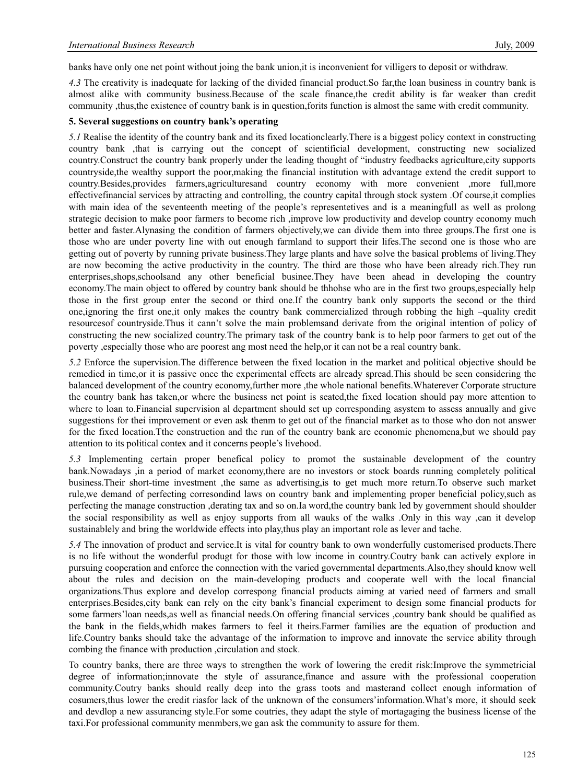banks have only one net point without joing the bank union,it is inconvenient for villigers to deposit or withdraw.

*4.3* The creativity is inadequate for lacking of the divided financial product.So far,the loan business in country bank is almost alike with community business.Because of the scale finance,the credit ability is far weaker than credit community ,thus,the existence of country bank is in question,forits function is almost the same with credit community.

## **5. Several suggestions on country bank's operating**

*5.1* Realise the identity of the country bank and its fixed locationclearly.There is a biggest policy context in constructing country bank ,that is carrying out the concept of scientificial development, constructing new socialized country.Construct the country bank properly under the leading thought of "industry feedbacks agriculture,city supports countryside,the wealthy support the poor,making the financial institution with advantage extend the credit support to country.Besides,provides farmers,agriculturesand country economy with more convenient ,more full,more effectivefinancial services by attracting and controlling, the country capital through stock system .Of course,it complies with main idea of the seventeenth meeting of the people's representetives and is a meaningfull as well as prolong strategic decision to make poor farmers to become rich ,improve low productivity and develop country economy much better and faster.Alynasing the condition of farmers objectively,we can divide them into three groups.The first one is those who are under poverty line with out enough farmland to support their lifes.The second one is those who are getting out of poverty by running private business.They large plants and have solve the basical problems of living.They are now becoming the active productivity in the country. The third are those who have been already rich.They run enterprises,shops,schoolsand any other beneficial businee.They have been ahead in developing the country economy.The main object to offered by country bank should be thhohse who are in the first two groups,especially help those in the first group enter the second or third one.If the country bank only supports the second or the third one,ignoring the first one,it only makes the country bank commercialized through robbing the high –quality credit resourcesof countryside.Thus it cann't solve the main problemsand derivate from the original intention of policy of constructing the new socialized country.The primary task of the country bank is to help poor farmers to get out of the poverty ,especially those who are poorest ang most need the help,or it can not be a real country bank.

*5.2* Enforce the supervision.The difference between the fixed location in the market and political objective should be remedied in time,or it is passive once the experimental effects are already spread.This should be seen considering the balanced development of the country economy,further more ,the whole national benefits.Whaterever Corporate structure the country bank has taken,or where the business net point is seated,the fixed location should pay more attention to where to loan to.Financial supervision al department should set up corresponding asystem to assess annually and give suggestions for thei improvement or even ask thenm to get out of the financial market as to those who don not answer for the fixed location.Tthe construction and the run of the country bank are economic phenomena,but we should pay attention to its political contex and it concerns people's livehood.

*5.3* Implementing certain proper benefical policy to promot the sustainable development of the country bank.Nowadays ,in a period of market economy,there are no investors or stock boards running completely political business.Their short-time investment ,the same as advertising,is to get much more return.To observe such market rule,we demand of perfecting corresondind laws on country bank and implementing proper beneficial policy,such as perfecting the manage construction ,derating tax and so on.Ia word,the country bank led by government should shoulder the social responsibility as well as enjoy supports from all wauks of the walks .Only in this way ,can it develop sustainablely and bring the worldwide effects into play,thus play an important role as lever and tache.

*5.4* The innovation of product and service.It is vital for country bank to own wonderfully customerised products.There is no life without the wonderful produgt for those with low income in country.Coutry bank can actively explore in pursuing cooperation and enforce the connection with the varied governmental departments.Also,they should know well about the rules and decision on the main-developing products and cooperate well with the local financial organizations.Thus explore and develop correspong financial products aiming at varied need of farmers and small enterprises.Besides,city bank can rely on the city bank's financial experiment to design some financial products for some farmers'loan needs,as well as financial needs.On offering financial services ,country bank should be qualified as the bank in the fields,whidh makes farmers to feel it theirs.Farmer families are the equation of production and life.Country banks should take the advantage of the information to improve and innovate the service ability through combing the finance with production ,circulation and stock.

To country banks, there are three ways to strengthen the work of lowering the credit risk:Improve the symmetricial degree of information;innovate the style of assurance,finance and assure with the professional cooperation community.Coutry banks should really deep into the grass toots and masterand collect enough information of cosumers,thus lower the credit riasfor lack of the unknown of the consumers'information.What's more, it should seek and devdlop a new assurancing style.For some coutries, they adapt the style of mortagaging the business license of the taxi.For professional community menmbers,we gan ask the community to assure for them.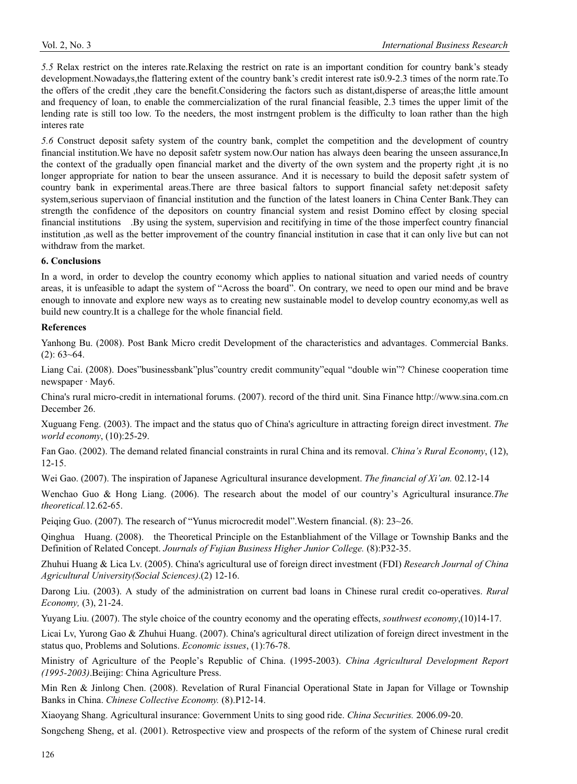*5.5* Relax restrict on the interes rate.Relaxing the restrict on rate is an important condition for country bank's steady development.Nowadays,the flattering extent of the country bank's credit interest rate is0.9-2.3 times of the norm rate.To the offers of the credit ,they care the benefit.Considering the factors such as distant,disperse of areas;the little amount and frequency of loan, to enable the commercialization of the rural financial feasible, 2.3 times the upper limit of the lending rate is still too low. To the needers, the most instrngent problem is the difficulty to loan rather than the high interes rate

*5.6* Construct deposit safety system of the country bank, complet the competition and the development of country financial institution.We have no deposit safetr system now.Our nation has always deen bearing the unseen assurance,In the context of the gradually open financial market and the diverty of the own system and the property right ,it is no longer appropriate for nation to bear the unseen assurance. And it is necessary to build the deposit safetr system of country bank in experimental areas.There are three basical faltors to support financial safety net:deposit safety system,serious superviaon of financial institution and the function of the latest loaners in China Center Bank.They can strength the confidence of the depositors on country financial system and resist Domino effect by closing special financial institutions .By using the system, supervision and recitifying in time of the those imperfect country financial institution ,as well as the better improvement of the country financial institution in case that it can only live but can not withdraw from the market.

## **6. Conclusions**

In a word, in order to develop the country economy which applies to national situation and varied needs of country areas, it is unfeasible to adapt the system of "Across the board". On contrary, we need to open our mind and be brave enough to innovate and explore new ways as to creating new sustainable model to develop country economy,as well as build new country.It is a challege for the whole financial field.

## **References**

Yanhong Bu. (2008). Post Bank Micro credit Development of the characteristics and advantages. Commercial Banks.  $(2): 63 - 64.$ 

Liang Cai. (2008). Does"businessbank"plus"country credit community"equal "double win"? Chinese cooperation time newspaper · May6.

China's rural micro-credit in international forums. (2007). record of the third unit. Sina Finance http://www.sina.com.cn December 26.

Xuguang Feng. (2003). The impact and the status quo of China's agriculture in attracting foreign direct investment. *The world economy*, (10):25-29.

Fan Gao. (2002). The demand related financial constraints in rural China and its removal. *China's Rural Economy*, (12), 12-15.

Wei Gao. (2007). The inspiration of Japanese Agricultural insurance development. *The financial of Xi'an.* 02.12-14

Wenchao Guo & Hong Liang. (2006). The research about the model of our country's Agricultural insurance.*The theoretical.*12.62-65.

Peiqing Guo. (2007). The research of "Yunus microcredit model".Western financial. (8): 23~26.

Qinghua Huang. (2008). the Theoretical Principle on the Estanbliahment of the Village or Township Banks and the Definition of Related Concept. *Journals of Fujian Business Higher Junior College.* (8):P32-35.

Zhuhui Huang & Lica Lv. (2005). China's agricultural use of foreign direct investment (FDI) *Research Journal of China Agricultural University(Social Sciences)*.(2) 12-16.

Darong Liu. (2003). A study of the administration on current bad loans in Chinese rural credit co-operatives. *Rural Economy,* (3), 21-24.

Yuyang Liu. (2007). The style choice of the country economy and the operating effects, *southwest economy*,(10)14-17.

Licai Lv, Yurong Gao & Zhuhui Huang. (2007). China's agricultural direct utilization of foreign direct investment in the status quo, Problems and Solutions. *Economic issues*, (1):76-78.

Ministry of Agriculture of the People's Republic of China. (1995-2003). *China Agricultural Development Report (1995-2003)*.Beijing: China Agriculture Press.

Min Ren & Jinlong Chen. (2008). Revelation of Rural Financial Operational State in Japan for Village or Township Banks in China. *Chinese Collective Economy.* (8).P12-14.

Xiaoyang Shang. Agricultural insurance: Government Units to sing good ride. *China Securities.* 2006.09-20.

Songcheng Sheng, et al. (2001). Retrospective view and prospects of the reform of the system of Chinese rural credit